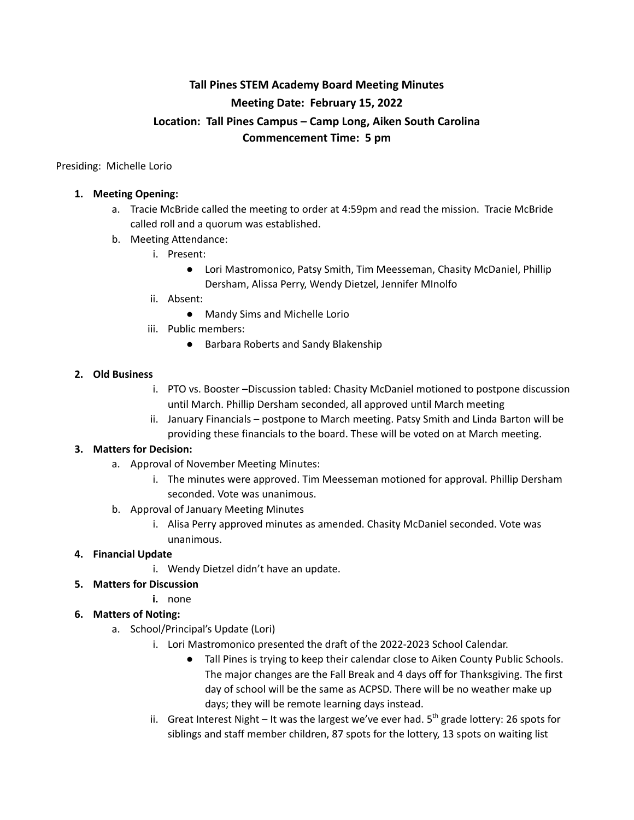# **Tall Pines STEM Academy Board Meeting Minutes Meeting Date: February 15, 2022 Location: Tall Pines Campus – Camp Long, Aiken South Carolina Commencement Time: 5 pm**

Presiding: Michelle Lorio

#### **1. Meeting Opening:**

- a. Tracie McBride called the meeting to order at 4:59pm and read the mission. Tracie McBride called roll and a quorum was established.
- b. Meeting Attendance:
	- i. Present:
		- Lori Mastromonico, Patsy Smith, Tim Meesseman, Chasity McDaniel, Phillip Dersham, Alissa Perry, Wendy Dietzel, Jennifer MInolfo
	- ii. Absent:
		- Mandy Sims and Michelle Lorio
	- iii. Public members:
		- Barbara Roberts and Sandy Blakenship

## **2. Old Business**

- i. PTO vs. Booster –Discussion tabled: Chasity McDaniel motioned to postpone discussion until March. Phillip Dersham seconded, all approved until March meeting
- ii. January Financials postpone to March meeting. Patsy Smith and Linda Barton will be providing these financials to the board. These will be voted on at March meeting.

## **3. Matters for Decision:**

- a. Approval of November Meeting Minutes:
	- i. The minutes were approved. Tim Meesseman motioned for approval. Phillip Dersham seconded. Vote was unanimous.
- b. Approval of January Meeting Minutes
	- i. Alisa Perry approved minutes as amended. Chasity McDaniel seconded. Vote was unanimous.

## **4. Financial Update**

- i. Wendy Dietzel didn't have an update.
- **5. Matters for Discussion**
	- **i.** none

## **6. Matters of Noting:**

- a. School/Principal's Update (Lori)
	- i. Lori Mastromonico presented the draft of the 2022-2023 School Calendar.
		- Tall Pines is trying to keep their calendar close to Aiken County Public Schools. The major changes are the Fall Break and 4 days off for Thanksgiving. The first day of school will be the same as ACPSD. There will be no weather make up days; they will be remote learning days instead.
	- ii. Great Interest Night It was the largest we've ever had. 5<sup>th</sup> grade lottery: 26 spots for siblings and staff member children, 87 spots for the lottery, 13 spots on waiting list